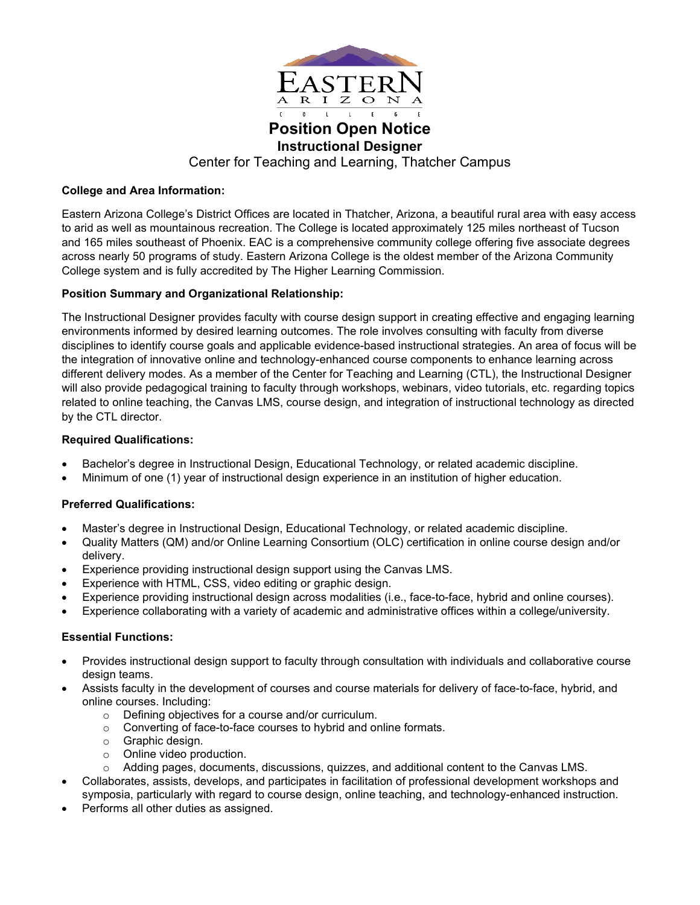

**Position Open Notice Instructional Designer** Center for Teaching and Learning, Thatcher Campus

## **College and Area Information:**

Eastern Arizona College's District Offices are located in Thatcher, Arizona, a beautiful rural area with easy access to arid as well as mountainous recreation. The College is located approximately 125 miles northeast of Tucson and 165 miles southeast of Phoenix. EAC is a comprehensive community college offering five associate degrees across nearly 50 programs of study. Eastern Arizona College is the oldest member of the Arizona Community College system and is fully accredited by The Higher Learning Commission.

# **Position Summary and Organizational Relationship:**

The Instructional Designer provides faculty with course design support in creating effective and engaging learning environments informed by desired learning outcomes. The role involves consulting with faculty from diverse disciplines to identify course goals and applicable evidence-based instructional strategies. An area of focus will be the integration of innovative online and technology-enhanced course components to enhance learning across different delivery modes. As a member of the Center for Teaching and Learning (CTL), the Instructional Designer will also provide pedagogical training to faculty through workshops, webinars, video tutorials, etc. regarding topics related to online teaching, the Canvas LMS, course design, and integration of instructional technology as directed by the CTL director.

# **Required Qualifications:**

- Bachelor's degree in Instructional Design, Educational Technology, or related academic discipline.
- Minimum of one (1) year of instructional design experience in an institution of higher education.

## **Preferred Qualifications:**

- Master's degree in Instructional Design, Educational Technology, or related academic discipline.
- Quality Matters (QM) and/or Online Learning Consortium (OLC) certification in online course design and/or delivery.
- Experience providing instructional design support using the Canvas LMS.
- Experience with HTML, CSS, video editing or graphic design.
- Experience providing instructional design across modalities (i.e., face-to-face, hybrid and online courses).
- Experience collaborating with a variety of academic and administrative offices within a college/university.

## **Essential Functions:**

- Provides instructional design support to faculty through consultation with individuals and collaborative course design teams.
- Assists faculty in the development of courses and course materials for delivery of face-to-face, hybrid, and online courses. Including:
	- o Defining objectives for a course and/or curriculum.
	- o Converting of face-to-face courses to hybrid and online formats.
	- o Graphic design.
	- o Online video production.
	- o Adding pages, documents, discussions, quizzes, and additional content to the Canvas LMS.
- Collaborates, assists, develops, and participates in facilitation of professional development workshops and symposia, particularly with regard to course design, online teaching, and technology-enhanced instruction.
- Performs all other duties as assigned.